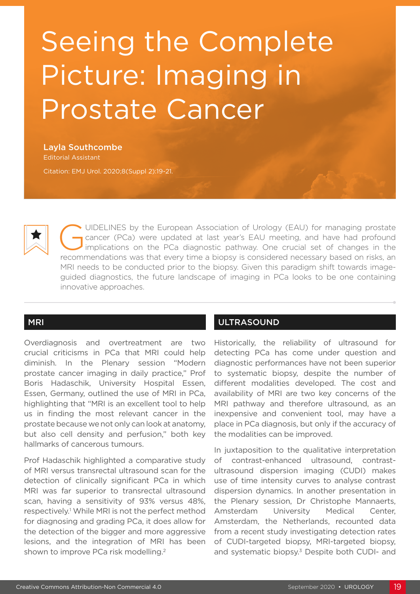# Seeing the Complete Picture: Imaging in Prostate Cancer

Layla Southcombe Editorial Assistant

Citation: EMJ Urol. 2020;8(Suppl 2):19-21.



UIDELINES by the European Association of Urology (EAU) for managing prostate<br>cancer (PCa) were updated at last year's EAU meeting, and have had profound<br>implications on the PCa diagnostic pathway. One crucial set of change cancer (PCa) were updated at last year's EAU meeting, and have had profound Implications on the PCa diagnostic pathway. One crucial set of changes in the recommendations was that every time a biopsy is considered necessary based on risks, an MRI needs to be conducted prior to the biopsy. Given this paradigm shift towards imageguided diagnostics, the future landscape of imaging in PCa looks to be one containing innovative approaches.

#### MRI

Overdiagnosis and overtreatment are two crucial criticisms in PCa that MRI could help diminish. In the Plenary session "Modern prostate cancer imaging in daily practice," Prof Boris Hadaschik, University Hospital Essen, Essen, Germany, outlined the use of MRI in PCa, highlighting that "MRI is an excellent tool to help us in finding the most relevant cancer in the prostate because we not only can look at anatomy, but also cell density and perfusion," both key hallmarks of cancerous tumours.

Prof Hadaschik highlighted a comparative study of MRI versus transrectal ultrasound scan for the detection of clinically significant PCa in which MRI was far superior to transrectal ultrasound scan, having a sensitivity of 93% versus 48%, respectively.<sup>1</sup> While MRI is not the perfect method for diagnosing and grading PCa, it does allow for the detection of the bigger and more aggressive lesions, and the integration of MRI has been shown to improve PCa risk modelling.<sup>2</sup>

# ULTRASOUND

Historically, the reliability of ultrasound for detecting PCa has come under question and diagnostic performances have not been superior to systematic biopsy, despite the number of different modalities developed. The cost and availability of MRI are two key concerns of the MRI pathway and therefore ultrasound, as an inexpensive and convenient tool, may have a place in PCa diagnosis, but only if the accuracy of the modalities can be improved.

In juxtaposition to the qualitative interpretation of contrast-enhanced ultrasound, contrastultrasound dispersion imaging (CUDI) makes use of time intensity curves to analyse contrast dispersion dynamics. In another presentation in the Plenary session, Dr Christophe Mannaerts, Amsterdam University Medical Center, Amsterdam, the Netherlands, recounted data from a recent study investigating detection rates of CUDI-targeted biopsy, MRI-targeted biopsy, and systematic biopsy.<sup>3</sup> Despite both CUDI- and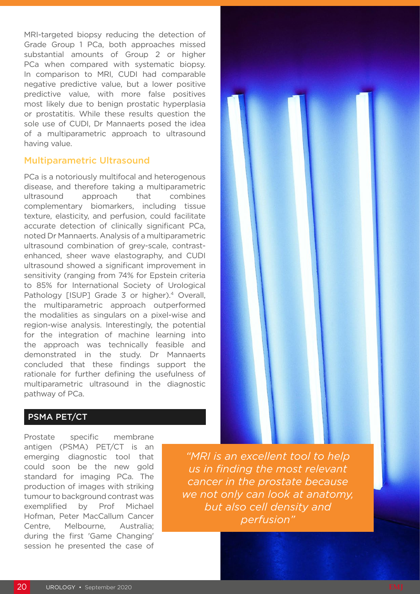MRI-targeted biopsy reducing the detection of Grade Group 1 PCa, both approaches missed substantial amounts of Group 2 or higher PCa when compared with systematic biopsy. In comparison to MRI, CUDI had comparable negative predictive value, but a lower positive predictive value, with more false positives most likely due to benign prostatic hyperplasia or prostatitis. While these results question the sole use of CUDI, Dr Mannaerts posed the idea of a multiparametric approach to ultrasound having value.

### Multiparametric Ultrasound

PCa is a notoriously multifocal and heterogenous disease, and therefore taking a multiparametric ultrasound approach that combines complementary biomarkers, including tissue texture, elasticity, and perfusion, could facilitate accurate detection of clinically significant PCa, noted Dr Mannaerts. Analysis of a multiparametric ultrasound combination of grey-scale, contrastenhanced, sheer wave elastography, and CUDI ultrasound showed a significant improvement in sensitivity (ranging from 74% for Epstein criteria to 85% for International Society of Urological Pathology [ISUP] Grade 3 or higher).<sup>4</sup> Overall, the multiparametric approach outperformed the modalities as singulars on a pixel-wise and region-wise analysis. Interestingly, the potential for the integration of machine learning into the approach was technically feasible and demonstrated in the study. Dr Mannaerts concluded that these findings support the rationale for further defining the usefulness of multiparametric ultrasound in the diagnostic pathway of PCa.



## PSMA PET/CT

Prostate specific membrane antigen (PSMA) PET/CT is an emerging diagnostic tool that could soon be the new gold standard for imaging PCa. The production of images with striking tumour to background contrast was exemplified by Prof Michael Hofman, Peter MacCallum Cancer Centre, Melbourne, Australia; during the first 'Game Changing' session he presented the case of

*"MRI is an excellent tool to help us in finding the most relevant cancer in the prostate because we not only can look at anatomy, but also cell density and perfusion"*